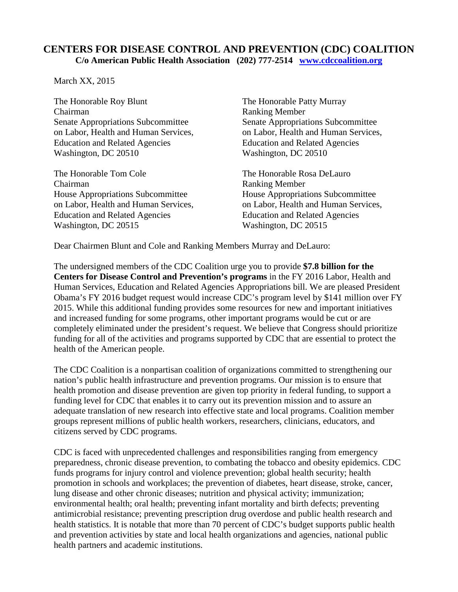## **CENTERS FOR DISEASE CONTROL AND PREVENTION (CDC) COALITION C/o American Public Health Association (202) 777-2514 www.cdccoalition.org**

March XX, 2015

The Honorable Roy Blunt The Honorable Patty Murray Chairman Ranking Member Senate Appropriations Subcommittee<br>
on Labor. Health and Human Services.<br>
on Labor. Health and Human Services Education and Related Agencies Education and Related Agencies Washington, DC 20510 Washington, DC 20510

The Honorable Tom Cole The Honorable Rosa DeLauro Chairman Ranking Member House Appropriations Subcommittee House Appropriations Subcommittee on Labor, Health and Human Services, on Labor, Health and Human Services, Education and Related Agencies<br>
Washington, DC 20515<br>
Washington, DC 20515 Washington, DC 20515

on Labor, Health and Human Services,

Dear Chairmen Blunt and Cole and Ranking Members Murray and DeLauro:

The undersigned members of the CDC Coalition urge you to provide **\$7.8 billion for the Centers for Disease Control and Prevention's programs** in the FY 2016 Labor, Health and Human Services, Education and Related Agencies Appropriations bill. We are pleased President Obama's FY 2016 budget request would increase CDC's program level by \$141 million over FY 2015. While this additional funding provides some resources for new and important initiatives and increased funding for some programs, other important programs would be cut or are completely eliminated under the president's request. We believe that Congress should prioritize funding for all of the activities and programs supported by CDC that are essential to protect the health of the American people.

The CDC Coalition is a nonpartisan coalition of organizations committed to strengthening our nation's public health infrastructure and prevention programs. Our mission is to ensure that health promotion and disease prevention are given top priority in federal funding, to support a funding level for CDC that enables it to carry out its prevention mission and to assure an adequate translation of new research into effective state and local programs. Coalition member groups represent millions of public health workers, researchers, clinicians, educators, and citizens served by CDC programs.

CDC is faced with unprecedented challenges and responsibilities ranging from emergency preparedness, chronic disease prevention, to combating the tobacco and obesity epidemics. CDC funds programs for injury control and violence prevention; global health security; health promotion in schools and workplaces; the prevention of diabetes, heart disease, stroke, cancer, lung disease and other chronic diseases; nutrition and physical activity; immunization; environmental health; oral health; preventing infant mortality and birth defects; preventing antimicrobial resistance; preventing prescription drug overdose and public health research and health statistics. It is notable that more than 70 percent of CDC's budget supports public health and prevention activities by state and local health organizations and agencies, national public health partners and academic institutions.